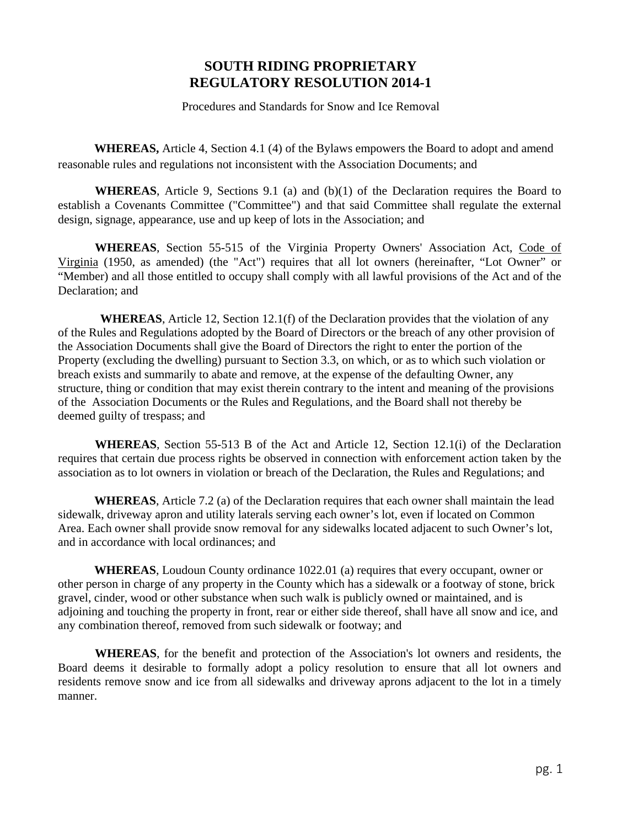# **SOUTH RIDING PROPRIETARY REGULATORY RESOLUTION 2014-1**

Procedures and Standards for Snow and Ice Removal

**WHEREAS,** Article 4, Section 4.1 (4) of the Bylaws empowers the Board to adopt and amend reasonable rules and regulations not inconsistent with the Association Documents; and

**WHEREAS**, Article 9, Sections 9.1 (a) and (b)(1) of the Declaration requires the Board to establish a Covenants Committee ("Committee") and that said Committee shall regulate the external design, signage, appearance, use and up keep of lots in the Association; and

**WHEREAS**, Section 55-515 of the Virginia Property Owners' Association Act, Code of Virginia (1950, as amended) (the "Act") requires that all lot owners (hereinafter, "Lot Owner" or "Member) and all those entitled to occupy shall comply with all lawful provisions of the Act and of the Declaration; and

 **WHEREAS**, Article 12, Section 12.1(f) of the Declaration provides that the violation of any of the Rules and Regulations adopted by the Board of Directors or the breach of any other provision of the Association Documents shall give the Board of Directors the right to enter the portion of the Property (excluding the dwelling) pursuant to Section 3.3, on which, or as to which such violation or breach exists and summarily to abate and remove, at the expense of the defaulting Owner, any structure, thing or condition that may exist therein contrary to the intent and meaning of the provisions of the Association Documents or the Rules and Regulations, and the Board shall not thereby be deemed guilty of trespass; and

**WHEREAS**, Section 55-513 B of the Act and Article 12, Section 12.1(i) of the Declaration requires that certain due process rights be observed in connection with enforcement action taken by the association as to lot owners in violation or breach of the Declaration, the Rules and Regulations; and

**WHEREAS**, Article 7.2 (a) of the Declaration requires that each owner shall maintain the lead sidewalk, driveway apron and utility laterals serving each owner's lot, even if located on Common Area. Each owner shall provide snow removal for any sidewalks located adjacent to such Owner's lot, and in accordance with local ordinances; and

**WHEREAS**, Loudoun County ordinance 1022.01 (a) requires that every occupant, owner or other person in charge of any property in the County which has a sidewalk or a footway of stone, brick gravel, cinder, wood or other substance when such walk is publicly owned or maintained, and is adjoining and touching the property in front, rear or either side thereof, shall have all snow and ice, and any combination thereof, removed from such sidewalk or footway; and

**WHEREAS**, for the benefit and protection of the Association's lot owners and residents, the Board deems it desirable to formally adopt a policy resolution to ensure that all lot owners and residents remove snow and ice from all sidewalks and driveway aprons adjacent to the lot in a timely manner.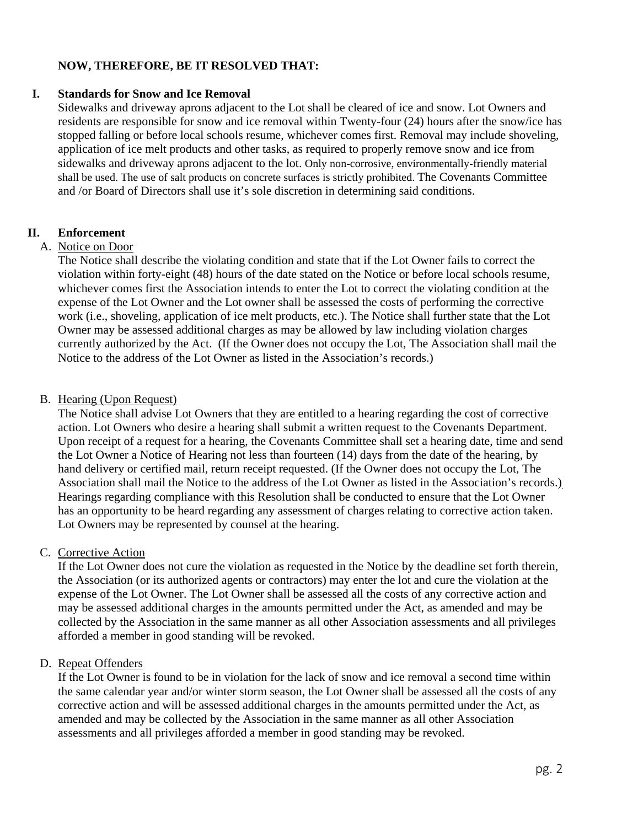#### **NOW, THEREFORE, BE IT RESOLVED THAT:**

#### **I. Standards for Snow and Ice Removal**

Sidewalks and driveway aprons adjacent to the Lot shall be cleared of ice and snow. Lot Owners and residents are responsible for snow and ice removal within Twenty-four (24) hours after the snow/ice has stopped falling or before local schools resume, whichever comes first. Removal may include shoveling, application of ice melt products and other tasks, as required to properly remove snow and ice from sidewalks and driveway aprons adjacent to the lot. Only non-corrosive, environmentally-friendly material shall be used. The use of salt products on concrete surfaces is strictly prohibited. The Covenants Committee and /or Board of Directors shall use it's sole discretion in determining said conditions.

#### **II. Enforcement**

#### A. Notice on Door

The Notice shall describe the violating condition and state that if the Lot Owner fails to correct the violation within forty-eight (48) hours of the date stated on the Notice or before local schools resume, whichever comes first the Association intends to enter the Lot to correct the violating condition at the expense of the Lot Owner and the Lot owner shall be assessed the costs of performing the corrective work (i.e., shoveling, application of ice melt products, etc.). The Notice shall further state that the Lot Owner may be assessed additional charges as may be allowed by law including violation charges currently authorized by the Act. (If the Owner does not occupy the Lot, The Association shall mail the Notice to the address of the Lot Owner as listed in the Association's records.)

#### B. Hearing (Upon Request)

The Notice shall advise Lot Owners that they are entitled to a hearing regarding the cost of corrective action. Lot Owners who desire a hearing shall submit a written request to the Covenants Department. Upon receipt of a request for a hearing, the Covenants Committee shall set a hearing date, time and send the Lot Owner a Notice of Hearing not less than fourteen (14) days from the date of the hearing, by hand delivery or certified mail, return receipt requested. (If the Owner does not occupy the Lot, The Association shall mail the Notice to the address of the Lot Owner as listed in the Association's records.) Hearings regarding compliance with this Resolution shall be conducted to ensure that the Lot Owner has an opportunity to be heard regarding any assessment of charges relating to corrective action taken. Lot Owners may be represented by counsel at the hearing.

#### C. Corrective Action

If the Lot Owner does not cure the violation as requested in the Notice by the deadline set forth therein, the Association (or its authorized agents or contractors) may enter the lot and cure the violation at the expense of the Lot Owner. The Lot Owner shall be assessed all the costs of any corrective action and may be assessed additional charges in the amounts permitted under the Act, as amended and may be collected by the Association in the same manner as all other Association assessments and all privileges afforded a member in good standing will be revoked.

#### D. Repeat Offenders

If the Lot Owner is found to be in violation for the lack of snow and ice removal a second time within the same calendar year and/or winter storm season, the Lot Owner shall be assessed all the costs of any corrective action and will be assessed additional charges in the amounts permitted under the Act, as amended and may be collected by the Association in the same manner as all other Association assessments and all privileges afforded a member in good standing may be revoked.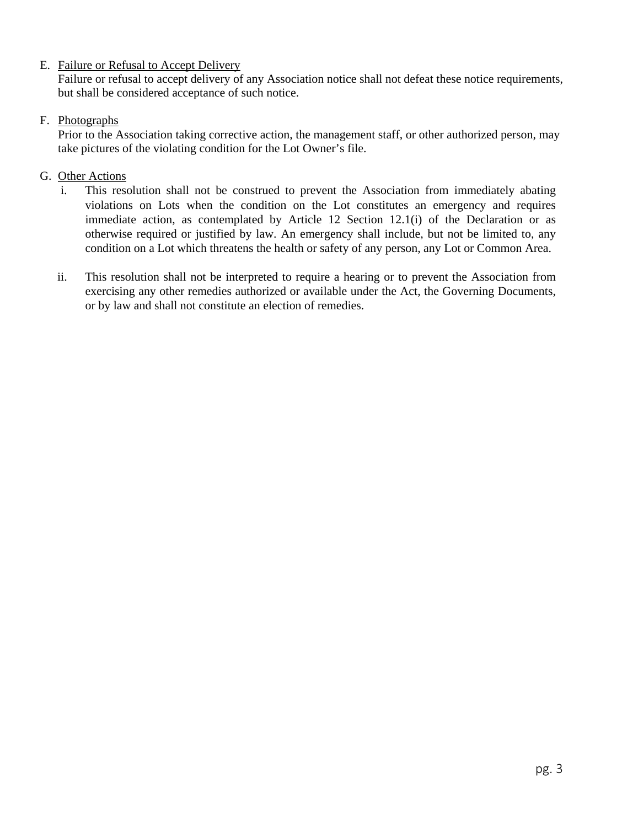### E. Failure or Refusal to Accept Delivery

Failure or refusal to accept delivery of any Association notice shall not defeat these notice requirements, but shall be considered acceptance of such notice.

## F. Photographs

Prior to the Association taking corrective action, the management staff, or other authorized person, may take pictures of the violating condition for the Lot Owner's file.

# G. Other Actions

- i. This resolution shall not be construed to prevent the Association from immediately abating violations on Lots when the condition on the Lot constitutes an emergency and requires immediate action, as contemplated by Article 12 Section 12.1(i) of the Declaration or as otherwise required or justified by law. An emergency shall include, but not be limited to, any condition on a Lot which threatens the health or safety of any person, any Lot or Common Area.
- ii. This resolution shall not be interpreted to require a hearing or to prevent the Association from exercising any other remedies authorized or available under the Act, the Governing Documents, or by law and shall not constitute an election of remedies.